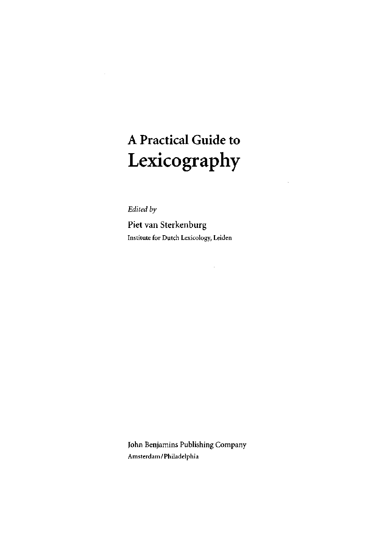# **A Practical Guide to**  Lexicography

 $\bar{\mathbf{r}}$ 

*Edited by* 

 $\mathcal{A}$ 

Piet van Sterkenburg Institute for Dutch Lexicology, Leiden

 $\bar{z}$ 

John Benjamins Publishing Company Amsterdam / Philadelphia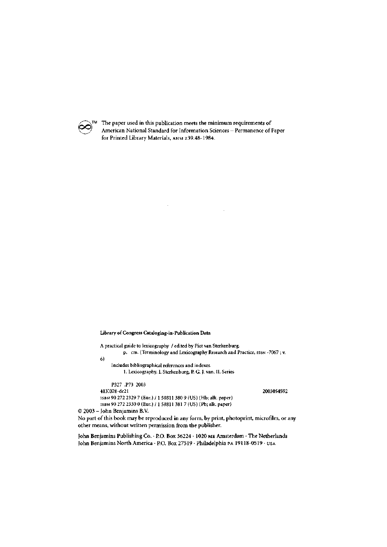

The paper used in this publication meets the minimum requirements of American National Standard for Information Sciences - Permanence of Paper for Printed Library Materials, ANSI Z39.48-1984.

Library of Congress Cataloging-in-Publication Data

A practical guide to lexicography / edited by Piet van Sterkenburg. p. cm. (Terminology and Lexicography Research and Practice, ISSN -7067 ; v. 6) Includes bibliographical references and indexes. 1. Lexicography I. Sterkenburg, P. G. J. van. II. Series P327 .P73 2003 413'.028-dc21 2003054592 ISBN 90 272 2329 7 (Eur.) / 1 58811 380 9 (US) (Hb; alk. paper)

ISBN 90 272 2330 0 (Eur.) / 1 58811 381 7 (US) (Pb; alk. paper) © 2003 - John Benjamins B.V.

No part of this book may be reproduced in any form, by print, photoprint, microfilm, or any other means, without written permission from the publisher.

John Benjamins Publishing Co. • P.O. Box 36224 • 1020 ME Amsterdam • The Netherlands John Benjamins North America • P.O. Box 27519 • Philadelphia PA 19118-0519 • USA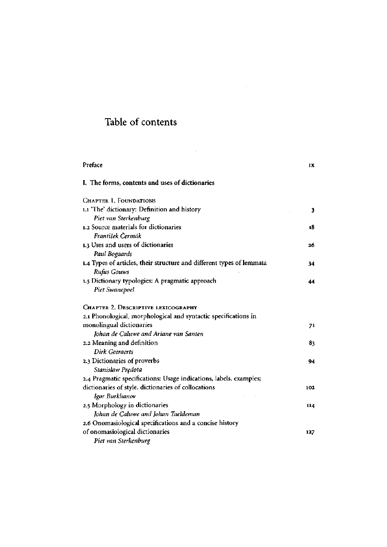## Table of contents

| Preface                                                               | IX  |
|-----------------------------------------------------------------------|-----|
| I. The forms, contents and uses of dictionaries                       |     |
| <b>CHAPTER 1. FOUNDATIONS</b>                                         |     |
| 1.1 'The' dictionary: Definition and history                          | 3   |
| Piet van Sterkenburg                                                  |     |
| 1.2 Source materials for dictionaries                                 | 18  |
| František Čermák                                                      |     |
| 1.3 Uses and users of dictionaries                                    | 26  |
| Paul Bogaards                                                         |     |
| 1.4 Types of articles, their structure and different types of lemmata | 34  |
| <b>Rufus Gouws</b>                                                    |     |
| 1.5 Dictionary typologies: A pragmatic approach                       | 44  |
| Piet Swanepoel                                                        |     |
|                                                                       |     |
| <b>CHAPTER 2. DESCRIPTIVE LEXICOGRAPHY</b>                            |     |
| 2.1 Phonological, morphological and syntactic specifications in       |     |
| monolingual dictionaries                                              | 71  |
| Johan de Caluwe and Ariane van Santen                                 |     |
| 2.2 Meaning and definition                                            | 83  |
| Dirk Geeraerts                                                        |     |
| 2.3 Dictionaries of proverbs                                          | 94  |
| Stanisław Prędota                                                     |     |
| 2.4 Pragmatic specifications: Usage indications, labels, examples;    |     |
| dictionaries of style, dictionaries of collocations                   | 102 |
| Igor Burkhanov                                                        |     |
| 2.5 Morphology in dictionaries                                        | 114 |
| Johan de Caluwe and Johan Taeldeman                                   |     |
| 2.6 Onomasiological specifications and a concise history              |     |
| of onomasiological dictionaries                                       | 127 |
| Piet van Sterkenburg                                                  |     |

 $\mathcal{L}^{\text{max}}_{\text{max}}$  and  $\mathcal{L}^{\text{max}}_{\text{max}}$ 

 $\mathcal{L}^{\text{max}}_{\text{max}}$  ,  $\mathcal{L}^{\text{max}}_{\text{max}}$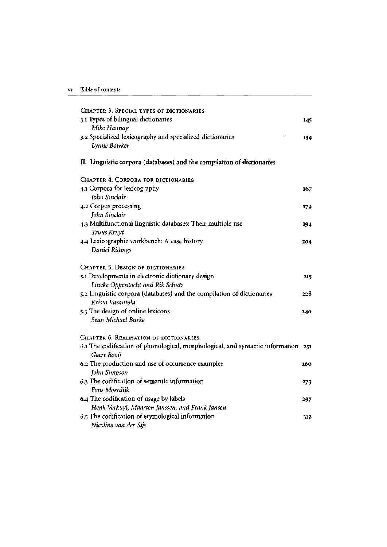| CHAPTER 3. SPECIAL TYPES OF DICTIONARIES                                           |     |
|------------------------------------------------------------------------------------|-----|
| 3.1 Types of bilingual dictionaries                                                | 145 |
| Mike Hannay                                                                        |     |
| 3.2 Specialized lexicography and specialized dictionaries                          | 154 |
| Lynne Bowker                                                                       |     |
| II. Linguistic corpora (databases) and the compilation of dictionaries             |     |
|                                                                                    |     |
| <b>CHAPTER 4. CORPORA FOR DICTIONARIES</b>                                         |     |
| 4.1 Corpora for lexicography                                                       | 167 |
| John Sinclair                                                                      |     |
| 4.2 Corpus processing                                                              | 179 |
| John Sinclair                                                                      |     |
| 4.3 Multifunctional linguistic databases: Their multiple use                       | 194 |
| <b>Truus Kruyt</b>                                                                 |     |
| 4.4 Lexicographic workbench: A case history                                        | 204 |
| Daniel Ridings                                                                     |     |
| <b>CHAPTER 5. DESIGN OF DICTIONARIES</b>                                           |     |
| 5.1 Developments in electronic dictionary design                                   | 215 |
| Lineke Oppentocht and Rik Schutz                                                   |     |
| 5.2 Linguistic corpora (databases) and the compilation of dictionaries             | 228 |
| Krista Varantola                                                                   |     |
| 5.3 The design of online lexicons                                                  | 240 |
| Sean Michael Burke                                                                 |     |
|                                                                                    |     |
| <b>CHAPTER 6. REALISATION OF DICTIONARIES</b>                                      |     |
| 6.1 The codification of phonological, morphological, and syntactic information 251 |     |
| Geert Booij                                                                        |     |
| 6.2 The production and use of occurrence examples                                  | 260 |
| John Simpson                                                                       |     |
| 6.3 The codification of semantic information                                       | 273 |
| Fons Moerdijk                                                                      |     |
| 6.4 The codification of usage by labels                                            | 297 |
| Henk Verkuyl, Maarten Janssen, and Frank Jansen                                    |     |
| 6.5 The codification of etymological information                                   | 312 |
| Nicoline van der Sijs                                                              |     |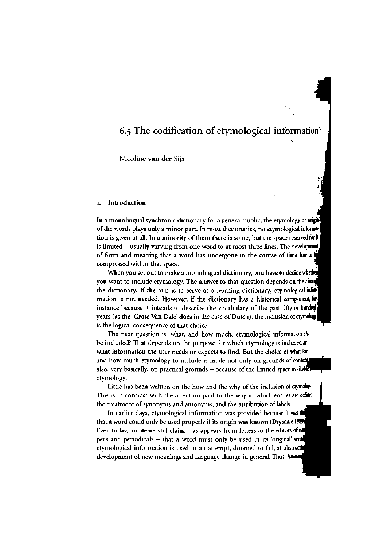### 6.5 The codification of etymological information\*

Nicoline van der Sijs

#### i. Introduction

In a monolingual synchronic dictionary for a general public, the etymology or original of the words plays only a minor part. In most dictionaries, no etymological inform»! tion is given at all. In a minority of them there is some, but the space reserved for is limited  $-$  usually varying from one word to at most three lines. The development of form and meaning that a word has undergone in the course of time has to I compressed within that space.

When you set out to make a monolingual dictionary, you have to decide whether you want to include etymology. The answer to that question depends on the aim! the dictionary. If the aim is to serve as a learning dictionary, etymological information mation is not needed. However, if the dictionary has a historical component, in instance because it intends to describe the vocabulary of the past fifty or hundred years (as the 'Grote Van Dale' does in the case of Dutch), the inclusion of etymology is the logical consequence of that choice.

The next question is: what, and how much, etymological information shebe included? That depends on the purpose for which etymology is included anc what information the user needs or expects to find. But the choice of what kin: and how much etymology to include is made not only on grounds of content also, very basically, on practical grounds  $-$  because of the limited space available etymology.

Little has been written on the how and the why of the inclusion of etymology This is in contrast with the attention paid to the way in which entries are define: the treatment of synonyms and antonyms, and the attribution of labels.

In earlier days, etymological information was provided because it was **t** that a word could only be used properly if its origin was known (Drysdale 19 Even today, amateurs still claim  $-$  as appears from letters to the editors of  $\mathbf{d}$ pers and periodicals – that a word must only be used in its 'original' send etymological information is used in an attempt, doomed to fail, at obstruct development of new meanings and language change in general. Thus, *huma*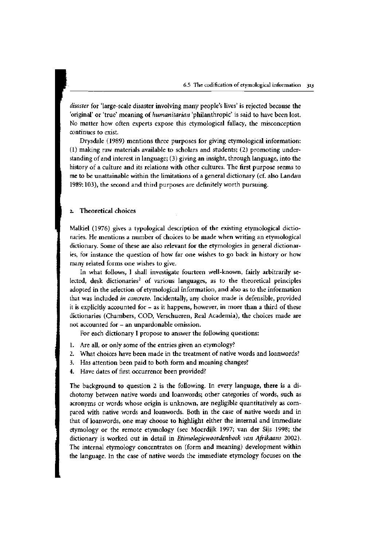*disaster* for 'large-scale disaster involving many people's lives' is rejected because the 'original' or 'true' meaning of *humanitarian* 'philanthropic' is said to have been lost. No matter how often experts expose this etymological fallacy, the misconception continues to exist.

Drysdale (1989) mentions three purposes for giving etymological information: (1) making raw materials available to scholars and students; (2) promoting understanding of and interest in language; (3) giving an insight, through language, into the history of a culture and its relations with other cultures. The first purpose seems to me to be unattainable within the limitations of a general dictionary (cf. also Landau 1989:103), the second and third purposes are definitely worth pursuing.

#### **2. Theoretical choices**

Malkiel (1976) gives a typological description of the existing etymological dictionaries. He mentions a number of choices to be made when writing an etymological dictionary. Some of these are also relevant for the etymologies in general dictionaries, for instance the question of how far one wishes to go back in history or how many related forms one wishes to give.

In what follows, I shall investigate fourteen well-known, fairly arbitrarily selected, desk dictionaries<sup>2</sup> of various languages, as to the theoretical principles adopted in the selection of etymological information, and also as to the information that was included *in concreto.* Incidentally, any choice made is defensible, provided it is explicitly accounted for - as it happens, however, in more than a third of these dictionaries (Chambers, COD, Verschueren, Real Academia), the choices made are not accounted for - an unpardonable omission.

For each dictionary I propose to answer the following questions:

- 1. Are all, or only some of the entries given an etymology?
- 2. What choices have been made in the treatment of native words and loanwords?
- 3. Has attention been paid to both form and meaning changes?
- 4. Have dates of first occurrence been provided?

The background to question 2 is the following. In every language, there is a dichotomy between native words and loanwords; other categories of words, such as acronyms or words whose origin is unknown, are negligible quantitatively as compared with native words and loanwords. Both in the case of native words and in that of loanwords, one may choose to highlight either the internal and immediate etymology or the remote etymology (see Moerdijk 1997; van der Sijs 1998; the dictionary is worked out in detail in *Etimologiewoordenboek van Afrikaans* 2002). The internal etymology concentrates on (form and meaning) development within the language. In the case of native words the immediate etymology focuses on the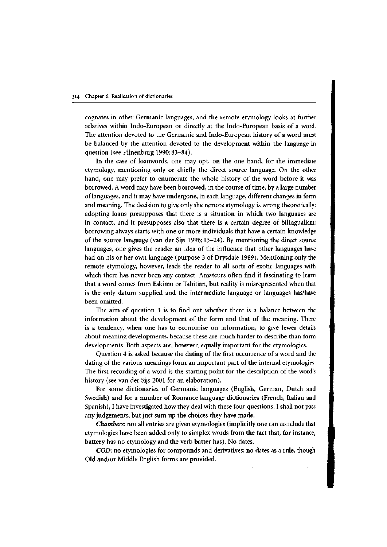cognates in other Germanic languages, and the remote etymology looks at further relatives within Indo-European or directly at the Indo-European basis of a word. The attention devoted to the Germanic and Indo-European history of a word must be balanced by the attention devoted to the development within the language in question (see Pijnenburg 1990:83-84).

In the case of loanwords, one may opt, on the one hand, for the immediate etymology, mentioning only or chiefly the direct source language. On the other hand, one may prefer to enumerate the whole history of the word before it was borrowed. A word may have been borrowed, in the course of time, by a large number of languages, and it may have undergone, in each language, different changes in form and meaning. The decision to give only the remote etymology is wrong theoretically: adopting loans presupposes that there is a situation in which two languages are in contact, and it presupposes also that there is a certain degree of bilingualism: borrowing always starts with one or more individuals that have a certain knowledge of the source language (van der Sijs 1996:13-24). By mentioning the direct source languages, one gives the reader an idea of the influence that other languages have had on his or her own language (purpose 3 of Drysdale 1989). Mentioning only the remote etymology, however, leads the reader to all sorts of exotic languages with which there has never been any contact. Amateurs often find it fascinating to learn that a word comes from Eskimo or Tahitian, but reality is misrepresented when that is the only datum supplied and the intermediate language or languages has/have been omitted.

The aim of question 3 is to find out whether there is a balance between the information about the development of the form and that of the meaning. There is a tendency, when one has to economise on information, to give fewer details about meaning developments, because these are much harder to describe than form developments. Both aspects are, however, equally important for the etymologies.

Question 4 is asked because the dating of the first occurrence of a word and the dating of the various meanings form an important part of the internal etymologies. The first recording of a word is the starting point for the description of the word's history (see van der Sijs 2001 for an elaboration).

For some dictionaries of Germanic languages (English, German, Dutch and Swedish) and for a number of Romance language dictionaries (French, Italian and Spanish), I have investigated how they deal with these four questions. I shall not pass any judgements, but just sum up the choices they have made.

*Chambers:* not all entries are given etymologies (implicitly one can conclude that etymologies have been added only to simplex words from the fact that, for instance, battery has no etymology and the verb **batter** has). No dates.

*COD:* no etymologies for compounds and derivatives; no dates as a rule, though Old and/or Middle English forms are provided.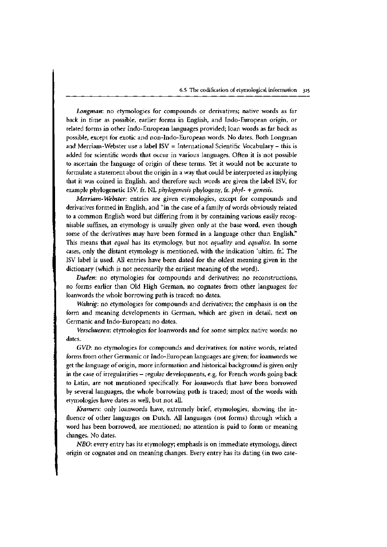*Longman:* no etymologies for compounds or derivatives; native words as far back in time as possible, earlier forms in English, and Indo-European origin, or related forms in other Indo-European languages provided; loan words as far back as possible, except for exotic and non-Indo-European words. No dates. Both Longman and Merriam-Webster use a label ISV *—* International Scientific Vocabulary - this is added for scientific words that occur in various languages. Often it is not possible to ascertain the language of origin of these terms. Yet it would not be accurate to formulate a statement about the origin in a way that could be interpreted as implying that it was coined in English, and therefore such words are given the label ISV, for example phylogenetic ISV, fr. NL *phylogenesis* phylogeny, fr. *phyl- + genesis.* 

*Merriam-Webster:* entries are given etymologies, except for compounds and derivatives formed in English, and "in the case of a family of words obviously related to a common English word but differing from it by containing various easily recognisable suffixes, an etymology is usually given only at the base word, even though some of the derivatives may have been formed in a language other than English." This means that *equal* has its etymology, but not *equality* and *equalise.* In some cases, only the distant etymology is mentioned, with the indication 'ultim. fr.' The ISV label is used. All entries have been dated for the oldest meaning given in the dictionary (which is not necessarily the earliest meaning of the word).

*Duden:* no etymologies for compounds and derivatives; no reconstructions, no forms earlier than Old High German, no cognates from other languages; for loanwords the whole borrowing path is traced; no dates.

*Wahrig:* no etymologies for compounds and derivatives; the emphasis is on the form and meaning developments in German, which are given in detail, next on Germanic and Indo-European; no dates.

*Verschueren:* etymologies for loanwords and for some simplex native words; no dates.

*GVD:* no etymologies for compounds and derivatives; for native words, related forms from other Germanic or Indo-European languages are given; for loanwords we get the language of origin, more information and historical background is given only in the case of irregularities - regular developments, e.g. for French words going back to Latin, are not mentioned specifically. For loanwords that have been borrowed by several languages, the whole borrowing path is traced; most of the words with etymologies have dates as well, but not all.

*Kramers:* only loanwords have, extremely brief, etymologies, showing the influence of other languages on Dutch. All languages (not forms) through which a word has been borrowed, are mentioned; no attention is paid to form or meaning changes. No dates.

*NEO:* every entry has its etymology; emphasis is on immediate etymology, direct origin or cognates and on meaning changes. Every entry has its dating (in two cate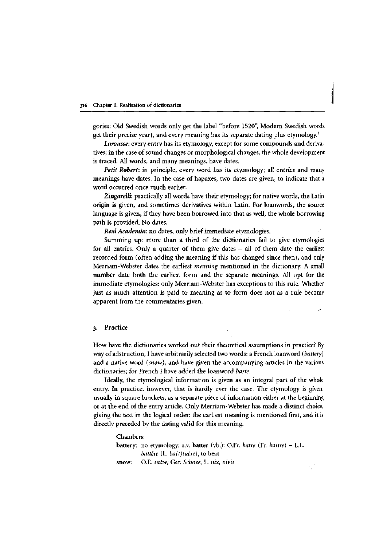gories: Old Swedish words only get the label "before 1520", Modern Swedish words get their precise year), and every meaning has its separate dating plus etymology.<sup>3</sup>

*Larousse:* every entry has its etymology, except for some compounds and derivatives; in the case of sound changes or morphological changes, the whole development is traced. All words, and many meanings, have dates.

*Petit Robert:* in principle, every word has its etymology; all entries and many meanings have dates. In the case of hapaxes, two dates are given, to indicate that a word occurred once much earlier.

*Zingarelli:* practically all words have their etymology; for native words, the Latin origin is given, and sometimes derivatives within Latin. For loanwords, the source language is given, if they have been borrowed into that as well, the whole borrowing path is provided. No dates.

*Real Academia:* no dates, only brief immediate etymologies.

Summing up: more than a third of the dictionaries fail to give etymologies for all entries. Only a quarter of them give dates  $-$  all of them date the earliest recorded form (often adding the meaning if this has changed since then), and only Merriam-Webster dates the earliest *meaning* mentioned in the dictionary. A small number date both the earliest form and the separate meanings. All opt for the immediate etymologies; only Merriam-Webster has exceptions to this rule. Whether just as much attention is paid to meaning as to form does not as a rule become apparent from the commentaries given.

#### **3. Practice**

How have the dictionaries worked out their theoretical assumptions in practice? By way of adstruction, I have arbitrarily selected two words: a French loanword *(battery)*  and a native word *(snow),* and have given the accompanying articles in the various dictionaries; for French I have added the loanword *baste.* 

Ideally, the etymological information is given as an integral part of the whole entry. In practice, however, that is hardly ever the case. The etymology is given, usually in square brackets, as a separate piece of information either at the beginning or at the end of the entry article. Only Merriam-Webster has made a distinct choice, giving the text in the logical order: the earliest meaning is mentioned first, and it is directly preceded by the dating valid for this meaning.

Chambers:

battery: no etymology; s.v. batter (vb.): O.Fr. *batre* (Fr. *battre)* - L.L. *battëre* (L. *ba(t)tuère),* to beat snow: O.E. *snaw;* Ger. *Schnee,* L. *nix, nivis*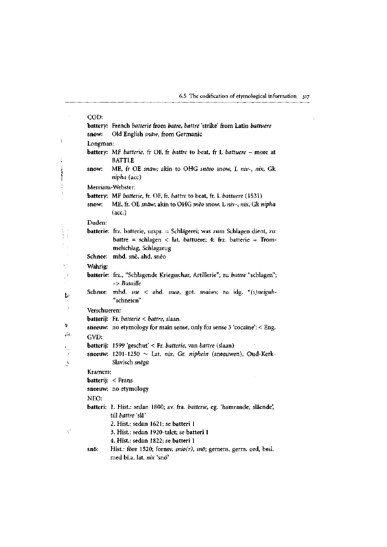$\bar{\mathcal{A}}$ 

|                                        | COD:             |                                                                                                                                                                   |  |  |
|----------------------------------------|------------------|-------------------------------------------------------------------------------------------------------------------------------------------------------------------|--|--|
|                                        |                  | battery: French batterie from batre, battre 'strike' from Latin battuere                                                                                          |  |  |
|                                        | snow:            | Old English snaw, from Germanic                                                                                                                                   |  |  |
|                                        | Longman:         |                                                                                                                                                                   |  |  |
|                                        |                  | battery: MF batterie, fr OF, fr battre to beat, fr L battuere - more at<br><b>BATTLE</b>                                                                          |  |  |
| しんしょう きんきょう しゅうしょう アール・マーク かんしょう かんしょう | snow:            | ME, fr OE snāw; akin to OHG snēeo snow, L niv-, nix, Gk<br>nipha (acc)                                                                                            |  |  |
|                                        | Merriam-Webster: |                                                                                                                                                                   |  |  |
|                                        |                  | battery: MF batterie, fr. OF, fr. battre to beat, fr. L battuere (1531)                                                                                           |  |  |
|                                        | snow:            | ME, fr. OE snāw; akin to OHG sněo snow, L niv-, nix, Gk nipha<br>$(\text{acc.})$                                                                                  |  |  |
|                                        | Duden:           |                                                                                                                                                                   |  |  |
|                                        |                  | batterie: frz. batterie, urspr. = Schlägerei; was zum Schlagen dient, zu:<br>battre = schlagen < lat. battuere; 4: frz. batterie = Trom-<br>melschlag, Schlagzeug |  |  |
|                                        | Schnee:          | mhd. snē, ahd. snēo                                                                                                                                               |  |  |
|                                        | Wahrig:          |                                                                                                                                                                   |  |  |
|                                        |                  | batterie: frz., "Schlagende Kriegsschar, Artillerie"; zu battre "schlagen";<br>-> Bataille                                                                        |  |  |
| Ь.                                     |                  | Schnee: mhd. sne < ahd. sneo, got. snaiws; zu idg. $*(s)$ neiguh-<br>"schneien"                                                                                   |  |  |
| $\mathcal{I}$                          | Verschueren:     |                                                                                                                                                                   |  |  |
|                                        |                  | batterij: Fr. batterie < battre, slaan.                                                                                                                           |  |  |
| ŋ.<br>. ابا                            | GVD:             | sneeuw: no etymology for main sense, only for sense $3$ 'cocaïne': < Eng.                                                                                         |  |  |
|                                        |                  | batterij: 1599 'geschut' < Fr. batterie, van battre (slaan)                                                                                                       |  |  |
| ूरे<br>प                               |                  | sneeuw: 1201-1250 $\sim$ Lat. nix, Gr. niphein (sneeuwen), Oud-Kerk-<br>Slavisch sněgů                                                                            |  |  |
|                                        | Kramers:         |                                                                                                                                                                   |  |  |
|                                        |                  | batterij: < Frans                                                                                                                                                 |  |  |
|                                        |                  | sneeuw: no etymology                                                                                                                                              |  |  |
|                                        | NEO:             |                                                                                                                                                                   |  |  |
|                                        |                  | batteri: 1. Hist.: sedan 1800; av. fra. batterie, eg. 'hamrande, slående',<br>till battre 'slå'                                                                   |  |  |
|                                        |                  | 2. Hist.: sedan 1621; se batteri 1                                                                                                                                |  |  |
| ÷,                                     |                  | 3. Hist.: sedan 1920-talet; se batteri 1                                                                                                                          |  |  |
|                                        |                  | 4. Hist.: sedan 1822; se batteri 1                                                                                                                                |  |  |
|                                        | snö:             | Hist.: före 1520; fornsv. snio(r), snö; gemens. germ. ord, besl.<br>med bl.a. lat. nix 'snö'                                                                      |  |  |

*i* 

 $\frac{1}{2}$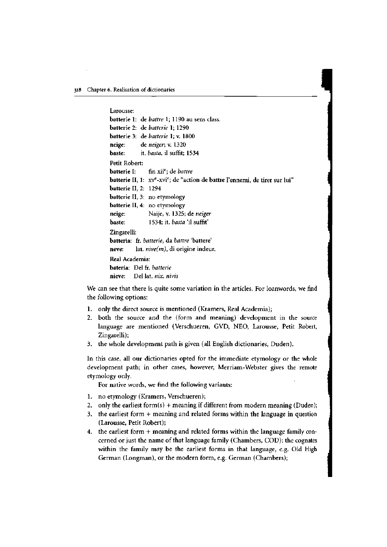```
Larousse: 
batterie 1: de battre 1; 1190 au sens class. 
batterie 2: de batterie 1; 1290 
batterie 3: de batterie 1; v. 1800 
neige: de neiger, v. 1320 
baste: it. basta, il suffit; 1534 
Petit Robert: 
batterie I:
                fin xii<sup>e</sup>; de battre
batterie II, 1: xv<sup>e</sup>-xvi<sup>e</sup>; de "action de battre l'ennemi, de tirer sur lui"
batterie II, 2: 1294
batterie II, 3: no etymology
batterie II, 4: no etymology
neige: Naije, v. 1325; de neiger 
baste: 1534; it. basta 'il suffit' 
Zingarelli: 
batteria: fr. batterie, da battre 'battere' 
neve: lat. nive(m), di origine indeur. 
Real Academia: 
bateria: Del fr. batterie 
nieve: Del lat. nix, nivis
```
We can see that there is quite some variation in the articles. For loanwords, we find the following options:

- 1. only the direct source is mentioned (Kramers, Real Academia);
- 2. both the source and the (form and meaning) development in the source language are mentioned (Verschueren, GVD, NEO, Larousse, Petit Robert, Zingarelli);
- 3. the whole development path is given (all English dictionaries, Duden).

In this case, all our dictionaries opted for the immediate etymology or the whole development path; in other cases, however, Merriam-Webster gives the remote etymology only.

For native words, we find the following variants:

- 1. no etymology (Kramers, Verschueren);
- 2. only the earliest form(s) + meaning if different from modern meaning (Duden);
- 3. the earliest form + meaning and related forms within the language in question (Larousse, Petit Robert);
- 4. the earliest form + meaning and related forms within the language family concerned or just the name of that language family (Chambers, COD); the cognates within the family may be the earliest forms in that language, e.g. Old High German (Longman), or the modern form, e.g. German (Chambers);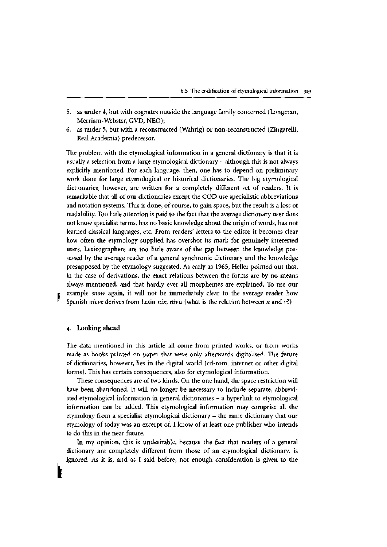- 5. as under 4, but with cognates outside the language family concerned (Longman, Merriam-Webster, GVD, NEO);
- 6. as under 5, but with a reconstructed (Wahrig) or non-reconstructed (Zingarelli, Real Academia) predecessor.

The problem with the etymological information in a general dictionary is that it is usually a selection from a large etymological dictionary - although this is not always explicitly mentioned. For each language, then, one has to depend on preliminary work done for large etymological or historical dictionaries. The big etymological dictionaries, however, are written for a completely different set of readers. It is remarkable that all of our dictionaries except the COD use specialistic abbreviations and notation systems. This is done, of course, to gain space, but the result is a loss of readability. Too little attention is paid to the fact that the average dictionary user does not know specialist terms, has no basic knowledge about the origin of words, has not learned classical languages, etc. From readers' letters to the editor it becomes clear how often the etymology supplied has overshot its mark for genuinely interested users. Lexicographers are too little aware of the gap between the knowledge possessed by the average reader of a general synchronic dictionary and the knowledge presupposed by the etymology suggested. As early as 1965, Heller pointed out that, in the case of derivations, the exact relations between the forms are by no means always mentioned, and that hardly ever all morphemes are explained. To use our example *snow* again, it will not be immediately clear to the average reader how Spanish *nieve* derives from Latin *nix, nivis* (what is the relation between *x* and v?)

#### **4. Looking ahead**

F

The data mentioned in this article all come from printed works, or from works made as books printed on paper that were only afterwards digitalised. The future of dictionaries, however, lies in the digital world (cd-rom, internet or other digital forms). This has certain consequences, also for etymological information.

These consequences are of two kinds. On the one hand, the space restriction will have been abandoned. It will no longer be necessary to include separate, abbreviated etymological information in general dictionaries - a hyperlink to etymological information can be added. This etymological information may comprise all the etymology from a specialist etymological dictionary - the same dictionary that our etymology of today was an excerpt of. I know of at least one publisher who intends to do this in the near future.

In my opinion, this is undesirable, because the fact that readers of a general dictionary are completely different from those of an etymological dictionary, is ignored. As it is, and as I said before, not enough consideration is given to the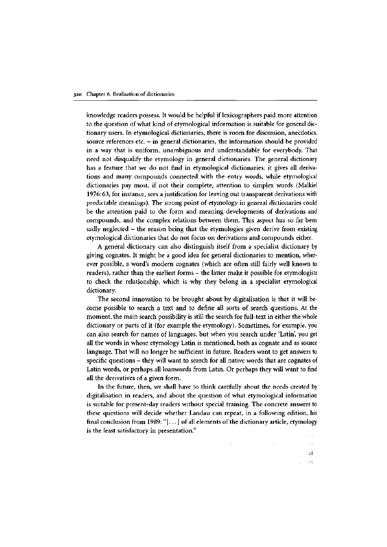knowledge readers possess. It would be helpful if lexicographers paid more attention to the question of what kind of etymological information is suitable for general dictionary users. In etymological dictionaries, there is room for discussion, anecdotics, source references etc.  $-$  in general dictionaries, the information should be provided in a way that is uniform, unambiguous and understandable for everybody. That need not disqualify the etymology in general dictionaries. The general dictionary has a feature that we do not find in etymological dictionaries: it gives all derivations and many compounds connected with the entry words, while etymological dictionaries pay most, if not their complete, attention to simplex words (Malkiel 1976:63, for instance, sees a justification for leaving out transparent derivations with predictable meanings). The strong point of etymology in general dictionaries could be the attention paid to the form and meaning developments of derivations and compounds, and the complex relations between them. This aspect has so far been sadly neglected  $-$  the reason being that the etymologies given derive from existing etymological dictionaries that do not focus on derivations and compounds either.

A general dictionary can also distinguish itself from a specialist dictionary by giving cognates. It might be a good idea for general dictionaries to mention, wherever possible, a word's modern cognates (which are often still fairly well known to readers), rather than the earliest forms - the latter make it possible for etymologists to check the relationship, which is why they belong in a specialist etymological dictionary.

The second innovation to be brought about by digitalisation is that it will become possible to search a text and to define all sorts of search questions. At the moment, the main search possibility is still the search for full-text in either the whole dictionary or parts of it (for example the etymology). Sometimes, for example, you can also search for names of languages, but when you search under 'Latin', you get all the words in whose etymology Latin is mentioned, both as cognate and as source language. That will no longer be sufficient in future. Readers want to get answers to specific questions – they will want to search for all native words that are cognates of Latin words, or perhaps all loanwords from Latin. Or perhaps they will want to find all the derivatives of a given form.

In the future, then, we shall have to think carefully about the needs created by digitalisation in readers, and about the question of what etymological information is suitable for present-day readers without special training. The concrete answers to these questions will decide whether Landau can repeat, in a following edition, his final conclusion from 1989: " $[...]$  of all elements of the dictionary article, etymology is the least satisfactory in presentation."

> $\sim$ i ाधी

-19